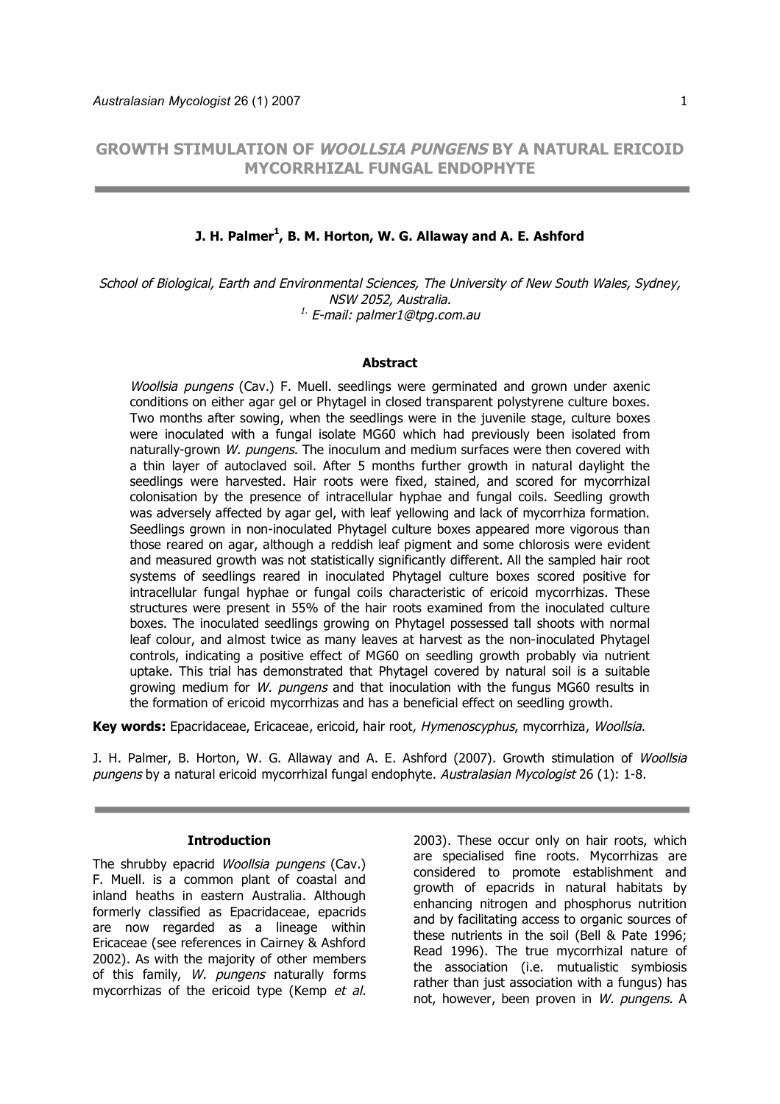**GROWTH STIMULATION OF WOOLLSIA PUNGENS BY A NATURAL ERICOID MYCORRHIZAL FUNGAL ENDOPHYTE**

# **J. H. Palmer<sup>1</sup> , B. M. Horton, W. G. Allaway and A. E. Ashford**

School of Biological, Earth and Environmental Sciences, The University of New South Wales, Sydney, NSW 2052, Australia. <sup>1.</sup> E-mail: palmer1@tpg.com.au

#### **Abstract**

Woollsia pungens (Cav.) F. Muell. seedlings were germinated and grown under axenic conditions on either agar gel or Phytagel in closed transparent polystyrene culture boxes. Two months after sowing, when the seedlings were in the juvenile stage, culture boxes were inoculated with a fungal isolate MG60 which had previously been isolated from naturally-grown W. pungens. The inoculum and medium surfaces were then covered with a thin layer of autoclaved soil. After 5 months further growth in natural daylight the seedlings were harvested. Hair roots were fixed, stained, and scored for mycorrhizal colonisation by the presence of intracellular hyphae and fungal coils. Seedling growth was adversely affected by agar gel, with leaf yellowing and lack of mycorrhiza formation. Seedlings grown in non-inoculated Phytagel culture boxes appeared more vigorous than those reared on agar, although a reddish leaf pigment and some chlorosis were evident and measured growth was not statistically significantly different. All the sampled hair root systems of seedlings reared in inoculated Phytagel culture boxes scored positive for intracellular fungal hyphae or fungal coils characteristic of ericoid mycorrhizas. These structures were present in 55% of the hair roots examined from the inoculated culture boxes. The inoculated seedlings growing on Phytagel possessed tall shoots with normal leaf colour, and almost twice as many leaves at harvest as the non-inoculated Phytagel controls, indicating a positive effect of MG60 on seedling growth probably via nutrient uptake. This trial has demonstrated that Phytagel covered by natural soil is a suitable growing medium for W. pungens and that inoculation with the fungus MG60 results in the formation of ericoid mycorrhizas and has a beneficial effect on seedling growth.

**Key words:** Epacridaceae, Ericaceae, ericoid, hair root, Hymenoscyphus, mycorrhiza, Woollsia.

J. H. Palmer, B. Horton, W. G. Allaway and A. E. Ashford (2007). Growth stimulation of Woollsia pungens by a natural ericoid mycorrhizal fungal endophyte. Australasian Mycologist 26 (1): 1-8.

#### **Introduction**

The shrubby epacrid Woollsia pungens (Cav.) F. Muell. is a common plant of coastal and inland heaths in eastern Australia. Although formerly classified as Epacridaceae, epacrids are now regarded as a lineage within Ericaceae (see references in Cairney & Ashford 2002). As with the majority of other members of this family, W. pungens naturally forms mycorrhizas of the ericoid type (Kemp et al. 2003). These occur only on hair roots, which are specialised fine roots. Mycorrhizas are considered to promote establishment and growth of epacrids in natural habitats by enhancing nitrogen and phosphorus nutrition and by facilitating access to organic sources of these nutrients in the soil (Bell & Pate 1996; Read 1996). The true mycorrhizal nature of the association (i.e. mutualistic symbiosis rather than just association with a fungus) has not, however, been proven in W, pungens. A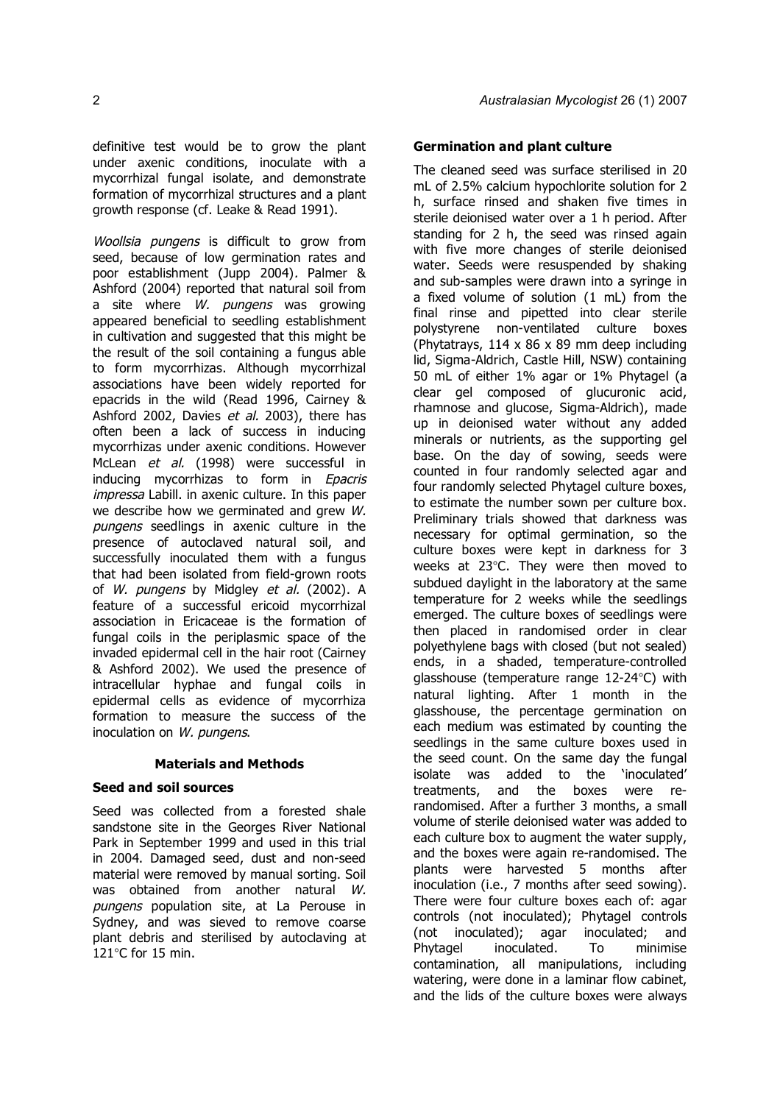definitive test would be to grow the plant under axenic conditions, inoculate with a mycorrhizal fungal isolate, and demonstrate formation of mycorrhizal structures and a plant growth response (cf. Leake & Read 1991).

Woollsia pungens is difficult to grow from seed, because of low germination rates and poor establishment (Jupp 2004). Palmer & Ashford (2004) reported that natural soil from a site where *W. pungens* was growing appeared beneficial to seedling establishment in cultivation and suggested that this might be the result of the soil containing a fungus able to form mycorrhizas. Although mycorrhizal associations have been widely reported for epacrids in the wild (Read 1996, Cairney & Ashford 2002, Davies et al. 2003), there has often been a lack of success in inducing mycorrhizas under axenic conditions. However McLean et al. (1998) were successful in inducing mycorrhizas to form in Epacris impressa Labill. in axenic culture. In this paper we describe how we germinated and grew W. pungens seedlings in axenic culture in the presence of autoclaved natural soil, and successfully inoculated them with a fungus that had been isolated from field-grown roots of W. pungens by Midgley et al. (2002). A feature of a successful ericoid mycorrhizal association in Ericaceae is the formation of fungal coils in the periplasmic space of the invaded epidermal cell in the hair root (Cairney & Ashford 2002). We used the presence of intracellular hyphae and fungal coils in epidermal cells as evidence of mycorrhiza formation to measure the success of the inoculation on W. pungens.

### **Materials and Methods**

### **Seed and soil sources**

Seed was collected from a forested shale sandstone site in the Georges River National Park in September 1999 and used in this trial in 2004. Damaged seed, dust and non-seed material were removed by manual sorting. Soil was obtained from another natural W. pungens population site, at La Perouse in Sydney, and was sieved to remove coarse plant debris and sterilised by autoclaving at 121°C for 15 min.

# **Germination and plant culture**

The cleaned seed was surface sterilised in 20 mL of 2.5% calcium hypochlorite solution for 2 h, surface rinsed and shaken five times in sterile deionised water over a 1 h period. After standing for 2 h, the seed was rinsed again with five more changes of sterile deionised water. Seeds were resuspended by shaking and sub-samples were drawn into a syringe in a fixed volume of solution (1 mL) from the final rinse and pipetted into clear sterile polystyrene non-ventilated culture boxes (Phytatrays, 114 x 86 x 89 mm deep including lid, Sigma-Aldrich, Castle Hill, NSW) containing 50 mL of either 1% agar or 1% Phytagel (a clear gel composed of glucuronic acid, rhamnose and glucose, Sigma-Aldrich), made up in deionised water without any added minerals or nutrients, as the supporting gel base. On the day of sowing, seeds were counted in four randomly selected agar and four randomly selected Phytagel culture boxes, to estimate the number sown per culture box. Preliminary trials showed that darkness was necessary for optimal germination, so the culture boxes were kept in darkness for 3 weeks at 23°C. They were then moved to subdued daylight in the laboratory at the same temperature for 2 weeks while the seedlings emerged. The culture boxes of seedlings were then placed in randomised order in clear polyethylene bags with closed (but not sealed) ends, in a shaded, temperature-controlled glasshouse (temperature range 12-24°C) with natural lighting. After 1 month in the glasshouse, the percentage germination on each medium was estimated by counting the seedlings in the same culture boxes used in the seed count. On the same day the fungal isolate was added to the 'inoculated' treatments, and the boxes were rerandomised. After a further 3 months, a small volume of sterile deionised water was added to each culture box to augment the water supply, and the boxes were again re-randomised. The plants were harvested 5 months after inoculation (i.e., 7 months after seed sowing). There were four culture boxes each of: agar controls (not inoculated); Phytagel controls (not inoculated); agar inoculated; and Phytagel inoculated. To minimise contamination, all manipulations, including watering, were done in a laminar flow cabinet, and the lids of the culture boxes were always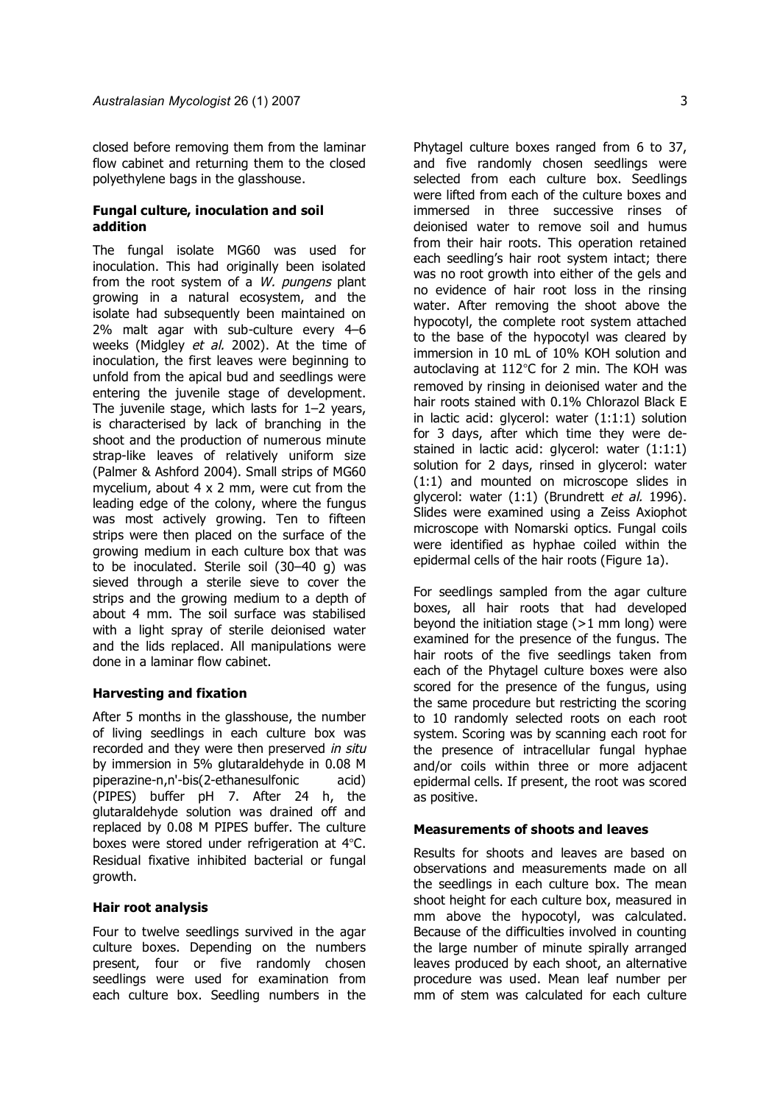closed before removing them from the laminar flow cabinet and returning them to the closed polyethylene bags in the glasshouse.

# **Fungal culture, inoculation and soil addition**

The fungal isolate MG60 was used for inoculation. This had originally been isolated from the root system of a  $W$ . pungens plant growing in a natural ecosystem, and the isolate had subsequently been maintained on 2% malt agar with sub-culture every 4–6 weeks (Midgley et al. 2002). At the time of inoculation, the first leaves were beginning to unfold from the apical bud and seedlings were entering the juvenile stage of development. The juvenile stage, which lasts for 1–2 years, is characterised by lack of branching in the shoot and the production of numerous minute strap-like leaves of relatively uniform size (Palmer & Ashford 2004). Small strips of MG60 mycelium, about 4 x 2 mm, were cut from the leading edge of the colony, where the fungus was most actively growing. Ten to fifteen strips were then placed on the surface of the growing medium in each culture box that was to be inoculated. Sterile soil (30–40 g) was sieved through a sterile sieve to cover the strips and the growing medium to a depth of about 4 mm. The soil surface was stabilised with a light spray of sterile deionised water and the lids replaced. All manipulations were done in a laminar flow cabinet.

### **Harvesting and fixation**

After 5 months in the glasshouse, the number of living seedlings in each culture box was recorded and they were then preserved in situ by immersion in 5% glutaraldehyde in 0.08 M piperazine-n,n'-bis(2-ethanesulfonic acid) (PIPES) buffer pH 7. After 24 h, the glutaraldehyde solution was drained off and replaced by 0.08 M PIPES buffer. The culture boxes were stored under refrigeration at 4°C. Residual fixative inhibited bacterial or fungal growth.

## **Hair root analysis**

Four to twelve seedlings survived in the agar culture boxes. Depending on the numbers present, four or five randomly chosen seedlings were used for examination from each culture box. Seedling numbers in the Phytagel culture boxes ranged from 6 to 37, and five randomly chosen seedlings were selected from each culture box. Seedlings were lifted from each of the culture boxes and immersed in three successive rinses of deionised water to remove soil and humus from their hair roots. This operation retained each seedling's hair root system intact; there was no root growth into either of the gels and no evidence of hair root loss in the rinsing water. After removing the shoot above the hypocotyl, the complete root system attached to the base of the hypocotyl was cleared by immersion in 10 mL of 10% KOH solution and autoclaving at 112°C for 2 min. The KOH was removed by rinsing in deionised water and the hair roots stained with 0.1% Chlorazol Black E in lactic acid: glycerol: water (1:1:1) solution for 3 days, after which time they were destained in lactic acid: glycerol: water (1:1:1) solution for 2 days, rinsed in glycerol: water (1:1) and mounted on microscope slides in glycerol: water (1:1) (Brundrett et al. 1996). Slides were examined using a Zeiss Axiophot microscope with Nomarski optics. Fungal coils were identified as hyphae coiled within the

For seedlings sampled from the agar culture boxes, all hair roots that had developed beyond the initiation stage  $(>1$  mm long) were examined for the presence of the fungus. The hair roots of the five seedlings taken from each of the Phytagel culture boxes were also scored for the presence of the fungus, using the same procedure but restricting the scoring to 10 randomly selected roots on each root system. Scoring was by scanning each root for the presence of intracellular fungal hyphae and/or coils within three or more adjacent epidermal cells. If present, the root was scored as positive.

epidermal cells of the hair roots (Figure 1a).

# **Measurements of shoots and leaves**

Results for shoots and leaves are based on observations and measurements made on all the seedlings in each culture box. The mean shoot height for each culture box, measured in mm above the hypocotyl, was calculated. Because of the difficulties involved in counting the large number of minute spirally arranged leaves produced by each shoot, an alternative procedure was used. Mean leaf number per mm of stem was calculated for each culture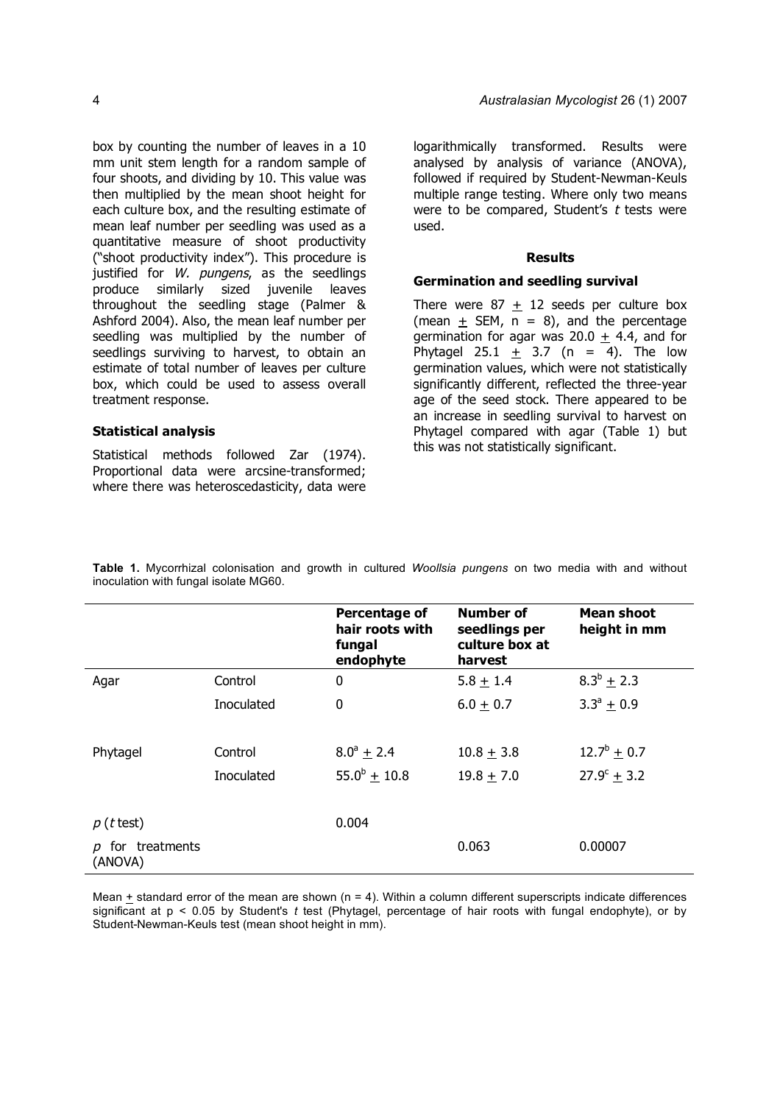box by counting the number of leaves in a 10 mm unit stem length for a random sample of four shoots, and dividing by 10. This value was then multiplied by the mean shoot height for each culture box, and the resulting estimate of mean leaf number per seedling was used as a quantitative measure of shoot productivity ("shoot productivity index"). This procedure is justified for W. pungens, as the seedlings produce similarly sized juvenile leaves throughout the seedling stage (Palmer & Ashford 2004). Also, the mean leaf number per seedling was multiplied by the number of seedlings surviving to harvest, to obtain an estimate of total number of leaves per culture box, which could be used to assess overall treatment response.

#### **Statistical analysis**

Statistical methods followed Zar (1974). Proportional data were arcsine-transformed; where there was heteroscedasticity, data were logarithmically transformed. Results were analysed by analysis of variance (ANOVA), followed if required by Student-Newman-Keuls multiple range testing. Where only two means were to be compared, Student's  $t$  tests were used.

#### **Results**

# **Germination and seedling survival**

There were  $87 + 12$  seeds per culture box (mean  $\pm$  SEM, n = 8), and the percentage germination for agar was 20.0  $\pm$  4.4, and for Phytagel 25.1 + 3.7 (n = 4). The low germination values, which were not statistically significantly different, reflected the three-year age of the seed stock. There appeared to be an increase in seedling survival to harvest on Phytagel compared with agar (Table 1) but this was not statistically significant.

**Table 1.** Mycorrhizal colonisation and growth in cultured *Woollsia pungens* on two media with and without inoculation with fungal isolate MG60.

|                                            |            | Percentage of<br>hair roots with<br>fungal<br>endophyte | Number of<br>seedlings per<br>culture box at<br>harvest | Mean shoot<br>height in mm |
|--------------------------------------------|------------|---------------------------------------------------------|---------------------------------------------------------|----------------------------|
| Agar                                       | Control    | 0                                                       | $5.8 + 1.4$                                             | $8.3^b \pm 2.3$            |
|                                            | Inoculated | 0                                                       | $6.0 + 0.7$                                             | $3.3^a + 0.9$              |
| Phytagel                                   | Control    | $8.0^{\circ}$ + 2.4                                     | $10.8 + 3.8$                                            | $12.7^b \pm 0.7$           |
|                                            | Inoculated | $55.0^b \pm 10.8$                                       | $19.8 + 7.0$                                            | $27.9^c + 3.2$             |
| $p(t$ test)                                |            | 0.004                                                   |                                                         |                            |
| for treatments<br>$\mathcal{D}$<br>(ANOVA) |            |                                                         | 0.063                                                   | 0.00007                    |

Mean  $+$  standard error of the mean are shown ( $n = 4$ ). Within a column different superscripts indicate differences significant at p < 0.05 by Student's *t* test (Phytagel, percentage of hair roots with fungal endophyte), or by Student-Newman-Keuls test (mean shoot height in mm).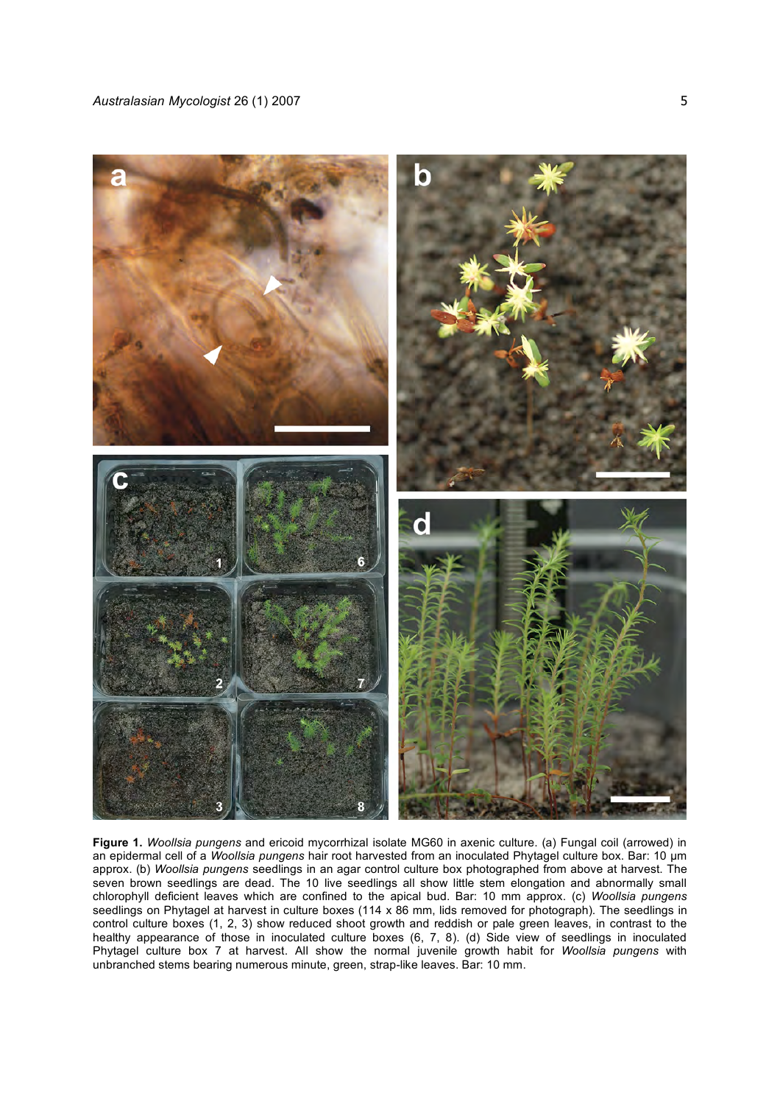

**Figure 1.** *Woollsia pungens* and ericoid mycorrhizal isolate MG60 in axenic culture. (a) Fungal coil (arrowed) in an epidermal cell of a *Woollsia pungens* hair root harvested from an inoculated Phytagel culture box. Bar: 10 um approx. (b) *Woollsia pungens* seedlings in an agar control culture box photographed from above at harvest. The seven brown seedlings are dead. The 10 live seedlings all show little stem elongation and abnormally small chlorophyll deficient leaves which are confined to the apical bud. Bar: 10 mm approx. (c) *Woollsia pungens* seedlings on Phytagel at harvest in culture boxes (114 x 86 mm, lids removed for photograph). The seedlings in control culture boxes (1, 2, 3) show reduced shoot growth and reddish or pale green leaves, in contrast to the healthy appearance of those in inoculated culture boxes (6, 7, 8). (d) Side view of seedlings in inoculated Phytagel culture box 7 at harvest. All show the normal juvenile growth habit for *Woollsia pungens* with unbranched stems bearing numerous minute, green, strap-like leaves. Bar: 10 mm.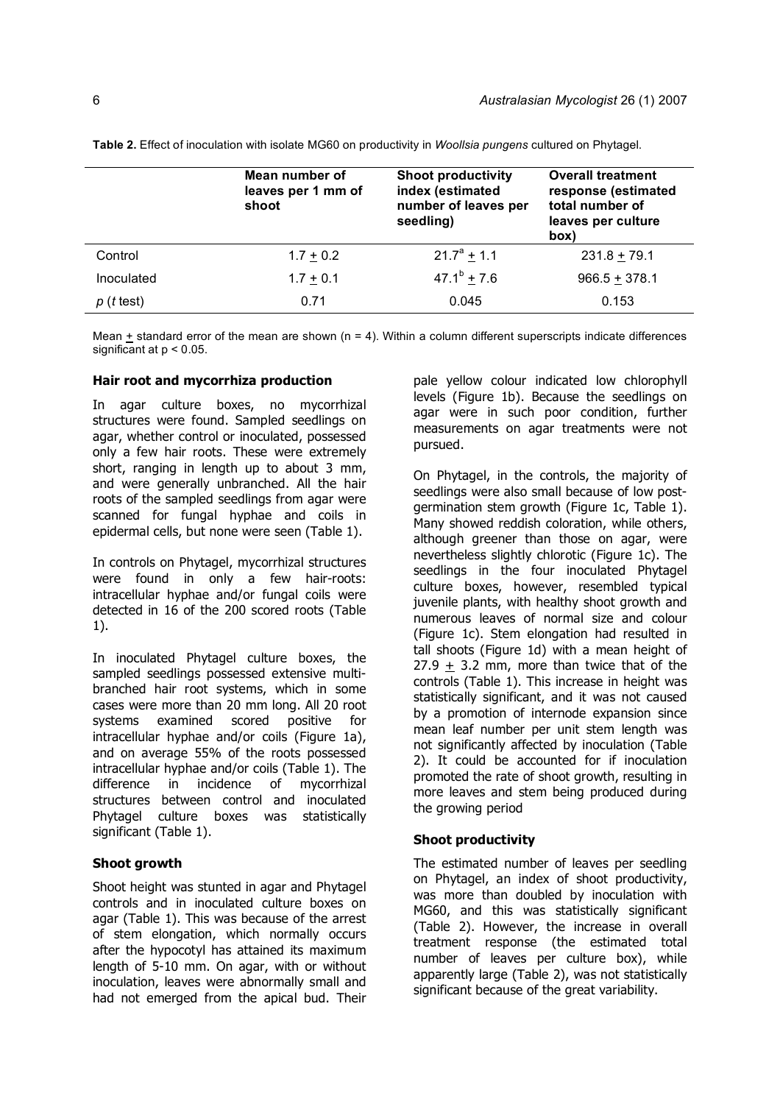|             | Mean number of<br>leaves per 1 mm of<br>shoot | <b>Shoot productivity</b><br>index (estimated<br>number of leaves per<br>seedling) | <b>Overall treatment</b><br>response (estimated<br>total number of<br>leaves per culture<br>(box |
|-------------|-----------------------------------------------|------------------------------------------------------------------------------------|--------------------------------------------------------------------------------------------------|
| Control     | $1.7 + 0.2$                                   | $21.7^a + 1.1$                                                                     | $231.8 + 79.1$                                                                                   |
| Inoculated  | $1.7 + 0.1$                                   | $47.1^b + 7.6$                                                                     | $966.5 + 378.1$                                                                                  |
| $p(t$ test) | 0.71                                          | 0.045                                                                              | 0.153                                                                                            |

**Table 2.** Effect of inoculation with isolate MG60 on productivity in *Woollsia pungens* cultured on Phytagel.

Mean  $\pm$  standard error of the mean are shown (n = 4). Within a column different superscripts indicate differences significant at p < 0.05.

## **Hair root and mycorrhiza production**

In agar culture boxes, no mycorrhizal structures were found. Sampled seedlings on agar, whether control or inoculated, possessed only a few hair roots. These were extremely short, ranging in length up to about 3 mm, and were generally unbranched. All the hair roots of the sampled seedlings from agar were scanned for fungal hyphae and coils in epidermal cells, but none were seen (Table 1).

In controls on Phytagel, mycorrhizal structures were found in only a few hair-roots: intracellular hyphae and/or fungal coils were detected in 16 of the 200 scored roots (Table 1).

In inoculated Phytagel culture boxes, the sampled seedlings possessed extensive multibranched hair root systems, which in some cases were more than 20 mm long. All 20 root systems examined scored positive for intracellular hyphae and/or coils (Figure 1a), and on average 55% of the roots possessed intracellular hyphae and/or coils (Table 1). The difference in incidence of mycorrhizal structures between control and inoculated Phytagel culture boxes was statistically significant (Table 1).

### **Shoot growth**

Shoot height was stunted in agar and Phytagel controls and in inoculated culture boxes on agar (Table 1). This was because of the arrest of stem elongation, which normally occurs after the hypocotyl has attained its maximum length of 5-10 mm. On agar, with or without inoculation, leaves were abnormally small and had not emerged from the apical bud. Their pale yellow colour indicated low chlorophyll levels (Figure 1b). Because the seedlings on agar were in such poor condition, further measurements on agar treatments were not pursued.

On Phytagel, in the controls, the majority of seedlings were also small because of low postgermination stem growth (Figure 1c, Table 1). Many showed reddish coloration, while others, although greener than those on agar, were nevertheless slightly chlorotic (Figure 1c). The seedlings in the four inoculated Phytagel culture boxes, however, resembled typical juvenile plants, with healthy shoot growth and numerous leaves of normal size and colour (Figure 1c). Stem elongation had resulted in tall shoots (Figure 1d) with a mean height of  $27.9 + 3.2$  mm, more than twice that of the controls (Table 1). This increase in height was statistically significant, and it was not caused by a promotion of internode expansion since mean leaf number per unit stem length was not significantly affected by inoculation (Table 2). It could be accounted for if inoculation promoted the rate of shoot growth, resulting in more leaves and stem being produced during the growing period

### **Shoot productivity**

The estimated number of leaves per seedling on Phytagel, an index of shoot productivity, was more than doubled by inoculation with MG60, and this was statistically significant (Table 2). However, the increase in overall treatment response (the estimated total number of leaves per culture box), while apparently large (Table 2), was not statistically significant because of the great variability.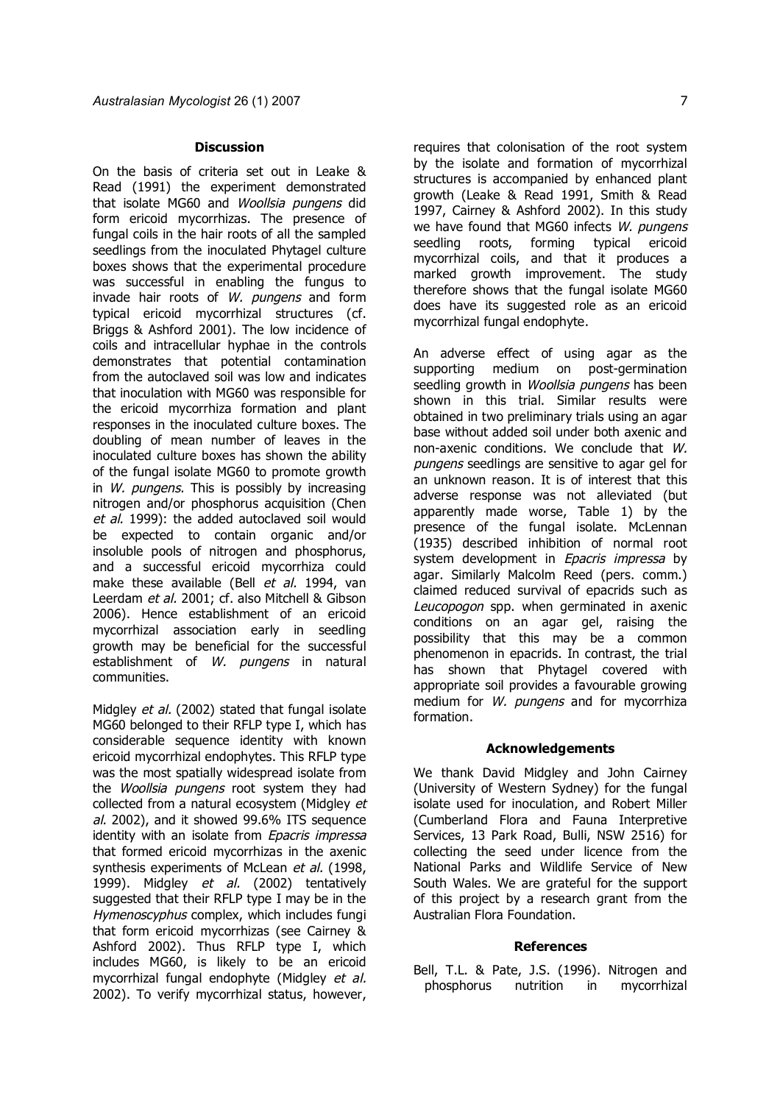#### **Discussion**

On the basis of criteria set out in Leake & Read (1991) the experiment demonstrated that isolate MG60 and Woollsia pungens did form ericoid mycorrhizas. The presence of fungal coils in the hair roots of all the sampled seedlings from the inoculated Phytagel culture boxes shows that the experimental procedure was successful in enabling the fungus to invade hair roots of W. pungens and form typical ericoid mycorrhizal structures (cf. Briggs & Ashford 2001). The low incidence of coils and intracellular hyphae in the controls demonstrates that potential contamination from the autoclaved soil was low and indicates that inoculation with MG60 was responsible for the ericoid mycorrhiza formation and plant responses in the inoculated culture boxes. The doubling of mean number of leaves in the inoculated culture boxes has shown the ability of the fungal isolate MG60 to promote growth in  $W$ . pungens. This is possibly by increasing nitrogen and/or phosphorus acquisition (Chen et al. 1999): the added autoclaved soil would be expected to contain organic and/or insoluble pools of nitrogen and phosphorus, and a successful ericoid mycorrhiza could make these available (Bell et al. 1994, van Leerdam et al. 2001; cf. also Mitchell & Gibson 2006). Hence establishment of an ericoid mycorrhizal association early in seedling growth may be beneficial for the successful establishment of W. pungens in natural communities.

Midgley et al. (2002) stated that fungal isolate MG60 belonged to their RFLP type I, which has considerable sequence identity with known ericoid mycorrhizal endophytes. This RFLP type was the most spatially widespread isolate from the Woollsia pungens root system they had collected from a natural ecosystem (Midgley et al. 2002), and it showed 99.6% ITS sequence identity with an isolate from Epacris impressa that formed ericoid mycorrhizas in the axenic synthesis experiments of McLean et al. (1998, 1999). Midgley et al. (2002) tentatively suggested that their RFLP type I may be in the Hymenoscyphus complex, which includes fungi that form ericoid mycorrhizas (see Cairney & Ashford 2002). Thus RFLP type I, which includes MG60, is likely to be an ericoid mycorrhizal fungal endophyte (Midgley et al. 2002). To verify mycorrhizal status, however,

requires that colonisation of the root system by the isolate and formation of mycorrhizal structures is accompanied by enhanced plant growth (Leake & Read 1991, Smith & Read 1997, Cairney & Ashford 2002). In this study we have found that MG60 infects W. pungens seedling roots, forming typical ericoid mycorrhizal coils, and that it produces a marked growth improvement. The study therefore shows that the fungal isolate MG60 does have its suggested role as an ericoid mycorrhizal fungal endophyte.

An adverse effect of using agar as the supporting medium on post-germination seedling growth in *Woollsia pungens* has been shown in this trial. Similar results were obtained in two preliminary trials using an agar base without added soil under both axenic and non-axenic conditions. We conclude that W. pungens seedlings are sensitive to agar gel for an unknown reason. It is of interest that this adverse response was not alleviated (but apparently made worse, Table 1) by the presence of the fungal isolate. McLennan (1935) described inhibition of normal root system development in Epacris impressa by agar. Similarly Malcolm Reed (pers. comm.) claimed reduced survival of epacrids such as Leucopogon spp. when germinated in axenic conditions on an agar gel, raising the possibility that this may be a common phenomenon in epacrids. In contrast, the trial has shown that Phytagel covered with appropriate soil provides a favourable growing medium for W. pungens and for mycorrhiza formation.

### **Acknowledgements**

We thank David Midgley and John Cairney (University of Western Sydney) for the fungal isolate used for inoculation, and Robert Miller (Cumberland Flora and Fauna Interpretive Services, 13 Park Road, Bulli, NSW 2516) for collecting the seed under licence from the National Parks and Wildlife Service of New South Wales. We are grateful for the support of this project by a research grant from the Australian Flora Foundation.

#### **References**

Bell, T.L. & Pate, J.S. (1996). Nitrogen and phosphorus nutrition in mycorrhizal